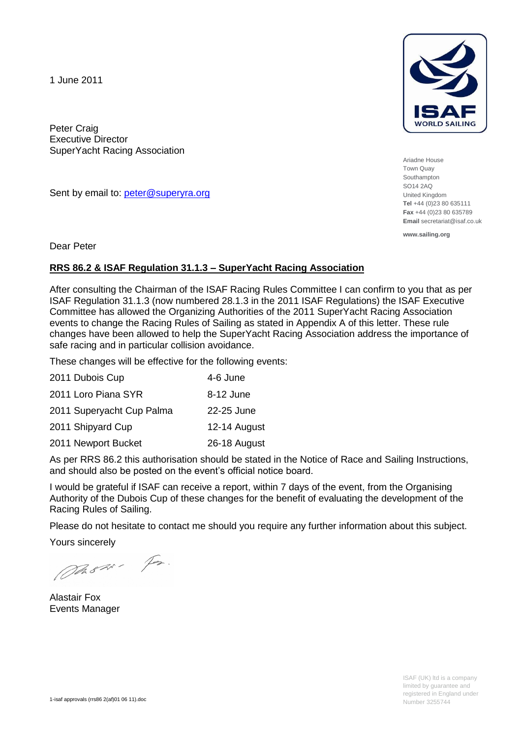1 June 2011

Peter Craig Executive Director SuperYacht Racing Association

Sent by email to: [peter@superyra.org](mailto:peter@superyra.org)



Ariadne House Town Quay Southampton SO14 2AQ United Kingdom **Tel** +44 (0)23 80 635111 **Fax** +44 (0)23 80 635789 **Email** secretariat@isaf.co.uk

**www.sailing.org**

Dear Peter

# **RRS 86.2 & ISAF Regulation 31.1.3 – SuperYacht Racing Association**

After consulting the Chairman of the ISAF Racing Rules Committee I can confirm to you that as per ISAF Regulation 31.1.3 (now numbered 28.1.3 in the 2011 ISAF Regulations) the ISAF Executive Committee has allowed the Organizing Authorities of the 2011 SuperYacht Racing Association events to change the Racing Rules of Sailing as stated in Appendix A of this letter. These rule changes have been allowed to help the SuperYacht Racing Association address the importance of safe racing and in particular collision avoidance.

These changes will be effective for the following events:

| 2011 Dubois Cup<br>4-6 June |              |
|-----------------------------|--------------|
| 2011 Loro Piana SYR         | 8-12 June    |
| 2011 Superyacht Cup Palma   | 22-25 June   |
| 2011 Shipyard Cup           | 12-14 August |
| 2011 Newport Bucket         | 26-18 August |

As per RRS 86.2 this authorisation should be stated in the Notice of Race and Sailing Instructions, and should also be posted on the event's official notice board.

I would be grateful if ISAF can receive a report, within 7 days of the event, from the Organising Authority of the Dubois Cup of these changes for the benefit of evaluating the development of the Racing Rules of Sailing.

Please do not hesitate to contact me should you require any further information about this subject.

Yours sincerely

DASH - Fr.

Alastair Fox Events Manager